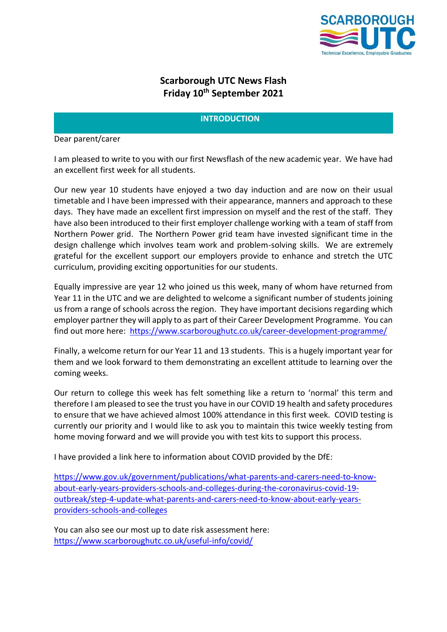

## **Scarborough UTC News Flash Friday 10th September 2021**

## **INTRODUCTION**

#### Dear parent/carer

I am pleased to write to you with our first Newsflash of the new academic year. We have had an excellent first week for all students.

Our new year 10 students have enjoyed a two day induction and are now on their usual timetable and I have been impressed with their appearance, manners and approach to these days. They have made an excellent first impression on myself and the rest of the staff. They have also been introduced to their first employer challenge working with a team of staff from Northern Power grid. The Northern Power grid team have invested significant time in the design challenge which involves team work and problem-solving skills. We are extremely grateful for the excellent support our employers provide to enhance and stretch the UTC curriculum, providing exciting opportunities for our students.

Equally impressive are year 12 who joined us this week, many of whom have returned from Year 11 in the UTC and we are delighted to welcome a significant number of students joining us from a range of schools across the region. They have important decisions regarding which employer partner they will apply to as part of their Career Development Programme. You can find out more here: <https://www.scarboroughutc.co.uk/career-development-programme/>

Finally, a welcome return for our Year 11 and 13 students. This is a hugely important year for them and we look forward to them demonstrating an excellent attitude to learning over the coming weeks.

Our return to college this week has felt something like a return to 'normal' this term and therefore I am pleased to see the trust you have in our COVID 19 health and safety procedures to ensure that we have achieved almost 100% attendance in this first week. COVID testing is currently our priority and I would like to ask you to maintain this twice weekly testing from home moving forward and we will provide you with test kits to support this process.

I have provided a link here to information about COVID provided by the DfE:

[https://www.gov.uk/government/publications/what-parents-and-carers-need-to-know](https://www.gov.uk/government/publications/what-parents-and-carers-need-to-know-about-early-years-providers-schools-and-colleges-during-the-coronavirus-covid-19-outbreak/step-4-update-what-parents-and-carers-need-to-know-about-early-years-providers-schools-and-colleges)[about-early-years-providers-schools-and-colleges-during-the-coronavirus-covid-19](https://www.gov.uk/government/publications/what-parents-and-carers-need-to-know-about-early-years-providers-schools-and-colleges-during-the-coronavirus-covid-19-outbreak/step-4-update-what-parents-and-carers-need-to-know-about-early-years-providers-schools-and-colleges) [outbreak/step-4-update-what-parents-and-carers-need-to-know-about-early-years](https://www.gov.uk/government/publications/what-parents-and-carers-need-to-know-about-early-years-providers-schools-and-colleges-during-the-coronavirus-covid-19-outbreak/step-4-update-what-parents-and-carers-need-to-know-about-early-years-providers-schools-and-colleges)[providers-schools-and-colleges](https://www.gov.uk/government/publications/what-parents-and-carers-need-to-know-about-early-years-providers-schools-and-colleges-during-the-coronavirus-covid-19-outbreak/step-4-update-what-parents-and-carers-need-to-know-about-early-years-providers-schools-and-colleges)

You can also see our most up to date risk assessment here: <https://www.scarboroughutc.co.uk/useful-info/covid/>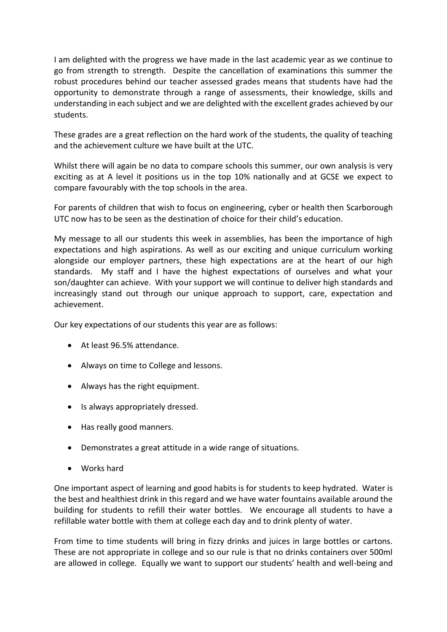I am delighted with the progress we have made in the last academic year as we continue to go from strength to strength. Despite the cancellation of examinations this summer the robust procedures behind our teacher assessed grades means that students have had the opportunity to demonstrate through a range of assessments, their knowledge, skills and understanding in each subject and we are delighted with the excellent grades achieved by our students.

These grades are a great reflection on the hard work of the students, the quality of teaching and the achievement culture we have built at the UTC.

Whilst there will again be no data to compare schools this summer, our own analysis is very exciting as at A level it positions us in the top 10% nationally and at GCSE we expect to compare favourably with the top schools in the area.

For parents of children that wish to focus on engineering, cyber or health then Scarborough UTC now has to be seen as the destination of choice for their child's education.

My message to all our students this week in assemblies, has been the importance of high expectations and high aspirations. As well as our exciting and unique curriculum working alongside our employer partners, these high expectations are at the heart of our high standards. My staff and I have the highest expectations of ourselves and what your son/daughter can achieve. With your support we will continue to deliver high standards and increasingly stand out through our unique approach to support, care, expectation and achievement.

Our key expectations of our students this year are as follows:

- At least 96.5% attendance.
- Always on time to College and lessons.
- Always has the right equipment.
- Is always appropriately dressed.
- Has really good manners.
- Demonstrates a great attitude in a wide range of situations.
- Works hard

One important aspect of learning and good habits is for students to keep hydrated. Water is the best and healthiest drink in this regard and we have water fountains available around the building for students to refill their water bottles. We encourage all students to have a refillable water bottle with them at college each day and to drink plenty of water.

From time to time students will bring in fizzy drinks and juices in large bottles or cartons. These are not appropriate in college and so our rule is that no drinks containers over 500ml are allowed in college. Equally we want to support our students' health and well-being and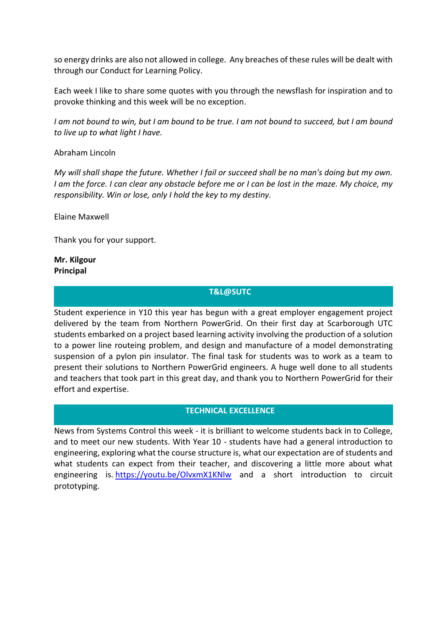so energy drinks are also not allowed in college. Any breaches of these rules will be dealt with through our Conduct for Learning Policy.

Each week I like to share some quotes with you through the newsflash for inspiration and to provoke thinking and this week will be no exception.

*I am not bound to win, but I am bound to be true. I am not bound to succeed, but I am bound to live up to what light I have.*

#### Abraham Lincoln

*My will shall shape the future. Whether I fail or succeed shall be no man's doing but my own. I am the force. I can clear any obstacle before me or I can be lost in the maze. My choice, my responsibility. Win or lose, only I hold the key to my destiny.*

Elaine Maxwell

Thank you for your support.

#### **Mr. Kilgour Principal**

#### **T&L@SUTC**

Student experience in Y10 this year has begun with a great employer engagement project delivered by the team from Northern PowerGrid. On their first day at Scarborough UTC students embarked on a project based learning activity involving the production of a solution to a power line routeing problem, and design and manufacture of a model demonstrating suspension of a pylon pin insulator. The final task for students was to work as a team to present their solutions to Northern PowerGrid engineers. A huge well done to all students and teachers that took part in this great day, and thank you to Northern PowerGrid for their effort and expertise.

## **TECHNICAL EXCELLENCE**

News from Systems Control this week - it is brilliant to welcome students back in to College, and to meet our new students. With Year 10 - students have had a general introduction to engineering, exploring what the course structure is, what our expectation are of students and what students can expect from their teacher, and discovering a little more about what engineering is. <https://youtu.be/OlvxmX1KNlw> and a short introduction to circuit prototyping.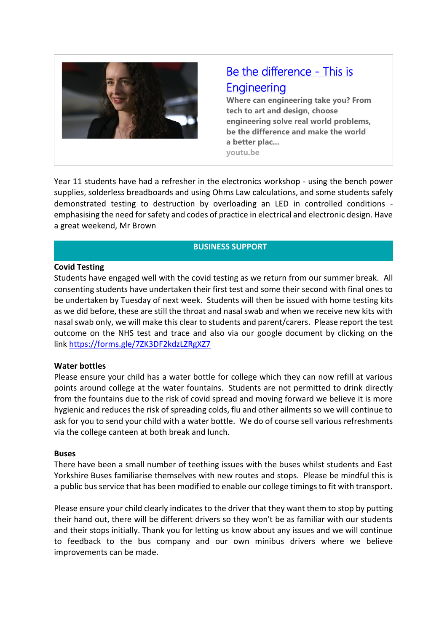

# [Be the difference - This is](https://youtu.be/OlvxmX1KNlw)  **Engineering**

**Where can engineering take you? From tech to art and design, choose engineering solve real world problems, be the difference and make the world a better plac... youtu.be**

Year 11 students have had a refresher in the electronics workshop - using the bench power supplies, solderless breadboards and using Ohms Law calculations, and some students safely demonstrated testing to destruction by overloading an LED in controlled conditions emphasising the need for safety and codes of practice in electrical and electronic design. Have a great weekend, Mr Brown

## **BUSINESS SUPPORT**

## **Covid Testing**

Students have engaged well with the covid testing as we return from our summer break. All consenting students have undertaken their first test and some their second with final ones to be undertaken by Tuesday of next week. Students will then be issued with home testing kits as we did before, these are still the throat and nasal swab and when we receive new kits with nasal swab only, we will make this clear to students and parent/carers. Please report the test outcome on the NHS test and trace and also via our google document by clicking on the link <https://forms.gle/7ZK3DF2kdzLZRgXZ7>

## **Water bottles**

Please ensure your child has a water bottle for college which they can now refill at various points around college at the water fountains. Students are not permitted to drink directly from the fountains due to the risk of covid spread and moving forward we believe it is more hygienic and reduces the risk of spreading colds, flu and other ailments so we will continue to ask for you to send your child with a water bottle. We do of course sell various refreshments via the college canteen at both break and lunch.

#### **Buses**

There have been a small number of teething issues with the buses whilst students and East Yorkshire Buses familiarise themselves with new routes and stops. Please be mindful this is a public bus service that has been modified to enable our college timings to fit with transport.

Please ensure your child clearly indicates to the driver that they want them to stop by putting their hand out, there will be different drivers so they won't be as familiar with our students and their stops initially. Thank you for letting us know about any issues and we will continue to feedback to the bus company and our own minibus drivers where we believe improvements can be made.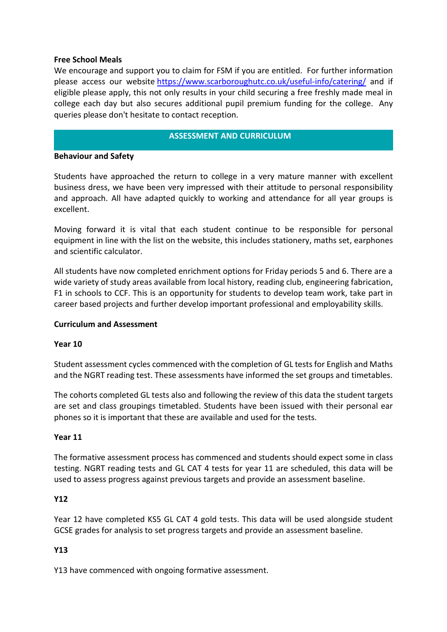## **Free School Meals**

We encourage and support you to claim for FSM if you are entitled. For further information please access our website <https://www.scarboroughutc.co.uk/useful-info/catering/> and if eligible please apply, this not only results in your child securing a free freshly made meal in college each day but also secures additional pupil premium funding for the college. Any queries please don't hesitate to contact reception.

## **ASSESSMENT AND CURRICULUM**

## **Behaviour and Safety**

Students have approached the return to college in a very mature manner with excellent business dress, we have been very impressed with their attitude to personal responsibility and approach. All have adapted quickly to working and attendance for all year groups is excellent.

Moving forward it is vital that each student continue to be responsible for personal equipment in line with the list on the website, this includes stationery, maths set, earphones and scientific calculator.

All students have now completed enrichment options for Friday periods 5 and 6. There are a wide variety of study areas available from local history, reading club, engineering fabrication, F1 in schools to CCF. This is an opportunity for students to develop team work, take part in career based projects and further develop important professional and employability skills.

## **Curriculum and Assessment**

## **Year 10**

Student assessment cycles commenced with the completion of GL tests for English and Maths and the NGRT reading test. These assessments have informed the set groups and timetables.

The cohorts completed GL tests also and following the review of this data the student targets are set and class groupings timetabled. Students have been issued with their personal ear phones so it is important that these are available and used for the tests.

## **Year 11**

The formative assessment process has commenced and students should expect some in class testing. NGRT reading tests and GL CAT 4 tests for year 11 are scheduled, this data will be used to assess progress against previous targets and provide an assessment baseline.

## **Y12**

Year 12 have completed KS5 GL CAT 4 gold tests. This data will be used alongside student GCSE grades for analysis to set progress targets and provide an assessment baseline.

## **Y13**

Y13 have commenced with ongoing formative assessment.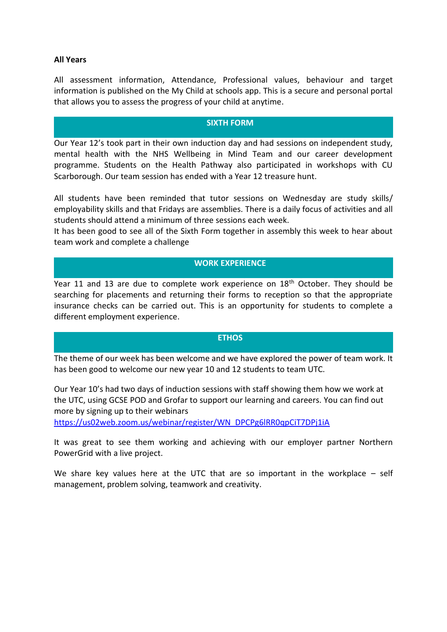## **All Years**

All assessment information, Attendance, Professional values, behaviour and target information is published on the My Child at schools app. This is a secure and personal portal that allows you to assess the progress of your child at anytime.

#### **SIXTH FORM**

Our Year 12's took part in their own induction day and had sessions on independent study, mental health with the NHS Wellbeing in Mind Team and our career development programme. Students on the Health Pathway also participated in workshops with CU Scarborough. Our team session has ended with a Year 12 treasure hunt.

All students have been reminded that tutor sessions on Wednesday are study skills/ employability skills and that Fridays are assemblies. There is a daily focus of activities and all students should attend a minimum of three sessions each week.

It has been good to see all of the Sixth Form together in assembly this week to hear about team work and complete a challenge

## **WORK EXPERIENCE**

Year 11 and 13 are due to complete work experience on 18<sup>th</sup> October. They should be searching for placements and returning their forms to reception so that the appropriate insurance checks can be carried out. This is an opportunity for students to complete a different employment experience.

#### **ETHOS**

The theme of our week has been welcome and we have explored the power of team work. It has been good to welcome our new year 10 and 12 students to team UTC.

Our Year 10's had two days of induction sessions with staff showing them how we work at the UTC, using GCSE POD and Grofar to support our learning and careers. You can find out more by signing up to their webinars

[https://us02web.zoom.us/webinar/register/WN\\_DPCPg6lRR0qpCiT7DPj1iA](https://us02web.zoom.us/webinar/register/WN_DPCPg6lRR0qpCiT7DPj1iA)

It was great to see them working and achieving with our employer partner Northern PowerGrid with a live project.

We share key values here at the UTC that are so important in the workplace – self management, problem solving, teamwork and creativity.